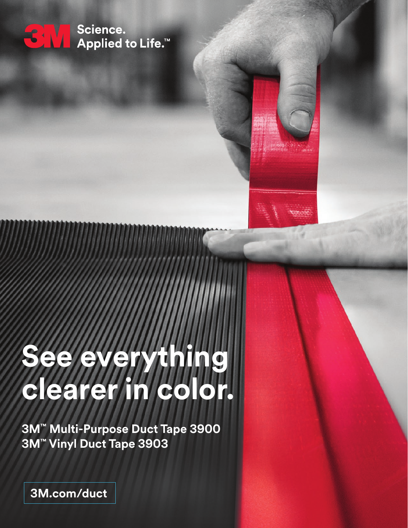

Science. Applied to Life.<sup>™</sup>



# **See e clearer in color.**

**3M™ Multi-Purpose Duct Tape 3900 3M™ Vinyl Duct Tape 3903** 

**3M.com/duct**